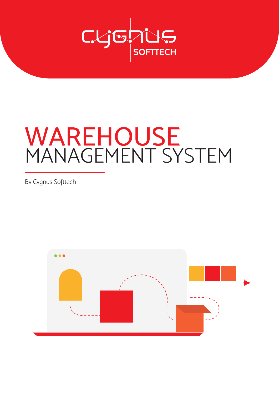

# **WAREHOUSE** MANAGEMENT SYSTEM

By Cygnus Softtech

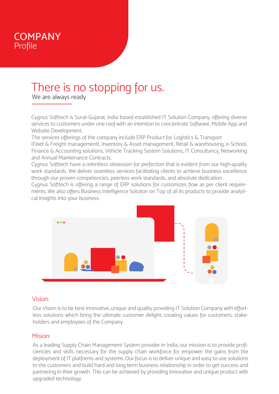

# There is no stopping for us.

We are always ready

Cygnus Softtech is Surat-Gujarat, India based established IT Solution Company, offering diverse services to customers under one roof with an intention to concentrate Software, Mobile App and Website Development.

The services offerings of the company include ERP Product for Logistics & Transport

(Fleet & Freight management), Inventory & Asset management, Retail & warehousing, e-School, Finance & Accounting solutions, Vehicle Tracking System Solutions, IT Consultancy, Networking and Annual Maintenance Contracts.

Cygnus Softtech have a relentless obsession for perfection that is evident from our high-quality work standards. We deliver seamless services facilitating clients to achieve business excellence through our proven competencies, peerless work standards, and absolute dedication.

Cygnus Softtech is offering a range of ERP solutions for customizes flow as per client requirements. We also offers Business Intelligence Solution on Top of all its products to provide analytical insights into your business.



#### Vision:

Our Vision is to be best innovative, unique and quality providing IT Solution Company with effortless solutions which bring the ultimate customer delight, creating values for customers, stakeholders and employees of the Company.

#### Mision:

As a leading Supply Chain Management System provider in India, our mission is to provide proficiencies and skills necessary for the supply chain workforce for empower the gains from the deployment of IT platforms and systems. Our focus is to deliver unique and easy to use solutions to the customers and build hard and long term business relationship in order to get success and partnering in their growth. This can be achieved by providing innovative and unique product with upgraded technology.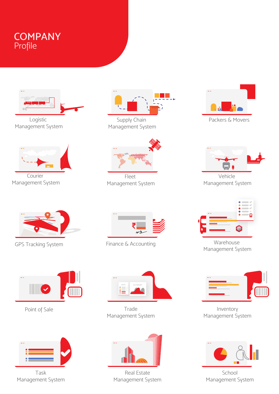### **COMPANY** Profile



Logistic Management System



Courier Management System



Supply Chain Management System



Fleet Management System

Finance & Accounting

GOODS & SERVICE TAX





Management System



Warehouse Management System



GPS Tracking System

Forgotten account?



Task Management System



Point of Sale Trade Management System



Real Estate Management System



Inventory Management System



School Management System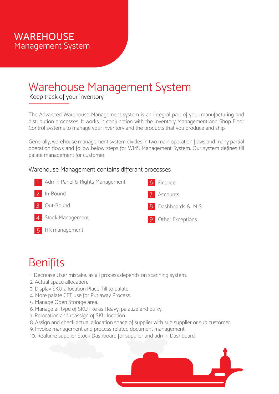# Warehouse Management System

Keep track of your inventory

The Advanced Warehouse Management system is an integral part of your manufacturing and distribution processes. It works in conjunction with the Inventory Management and Shop Floor Control systems to manage your inventory and the products that you produce and ship.

Generally, warehouse management system divides in two main operation flows and many partial operation flows and follow below steps for WMS Management System. Our system defines till palate management for customer.

#### Warehouse Management contains differant processes

Admin Panel & Rights Management In-Bound 1 2 Out-Bound Stock Management HR management Finance 5 6 **Accounts** Dashboards & MIS Other Exceptions

# **Benifits**

- 1. Decrease User mistake, as all process depends on scanning system.
- 2. Actual space allocation.
- 3. Display SKU allocation Place Till to palate.
- 4. More palate CFT use for Put away Process.
- 5. Manage Open Storage area.
- 6. Manage all type of SKU like as Heavy, palatize and bulky.
- 7. Relocation and reassign of SKU location.
- 8. Assign and check actual allocation space of supplier with sub supplier or sub customer.
- 9. Invoice management and process related document management.
- 10. Realtime supplier Stock Dashboard for supplier and admin Dashboard.

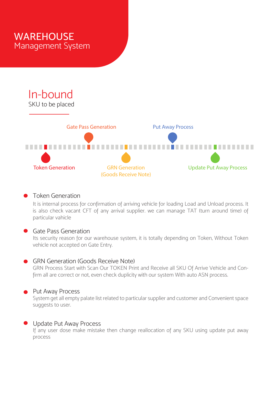### **WAREHOUSE** Management System



#### Token Generation

It is internal process for confirmation of arriving vehicle for loading Load and Unload process. It is also check vacant CFT of any arrival supplier. we can manage TAT (turn around time) of particular vahicle

#### Gate Pass Generation

Its security reason for our warehouse system, it is totally depending on Token, Without Token vehicle not accepted on Gate Entry.

#### GRN Generation (Goods Receive Note)

GRN Process Start with Scan Our TOKEN Print and Receive all SKU Of Arrive Vehicle and Confirm all are correct or not, even check duplicity with our system With auto ASN process.

#### Put Away Process

System get all empty palate list related to particular supplier and customer and Convenient space suggests to user.

#### Update Put Away Process

If any user dose make mistake then change reallocation of any SKU using update put away process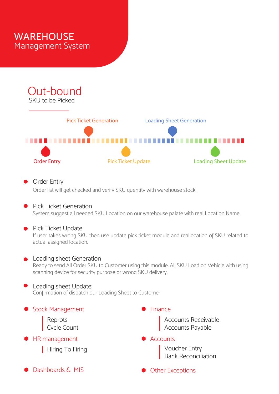### **WAREHOUSE** Management System



- Order list will get checked and verify SKU quentity with warehouse stock. **Order Entry**
- System suggest all needed SKU Location on our warehouse palate with real Location Name. Pick Ticket Generation
- If user takes wrong SKU then use update pick ticket module and reallocation of SKU related to actual assigned location. Pick Ticket Update

#### Loading sheet Generation

Ready to send All Order SKU to Customer using this module. All SKU Load on Vehicle with using scanning device for security purpose or wrong SKU delivery.

#### Loading sheet Update:

Confirmation of dispatch our Loading Sheet to Customer

Stock Management Reprots Cycle Count Dashboards & MIS HR management **Hiring To Firing •** Finance Accounts Receivable Accounts Payable Voucher Entry Bank Reconciliation **Other Exceptions Accounts**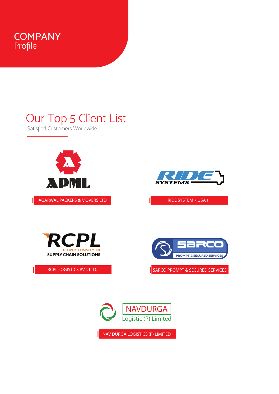

### Our Top 5 Client List

Satisfied Customers Worldwide



AGARWAL PACKERS & MOVERS LTD.



RIDE SYSTEM ( USA )





RCPL LOGISTICS PVT. LTD. SARCO PROMPT & SECURED SERVICES



NAV DURGA LOGISTICS (P) LIMITED